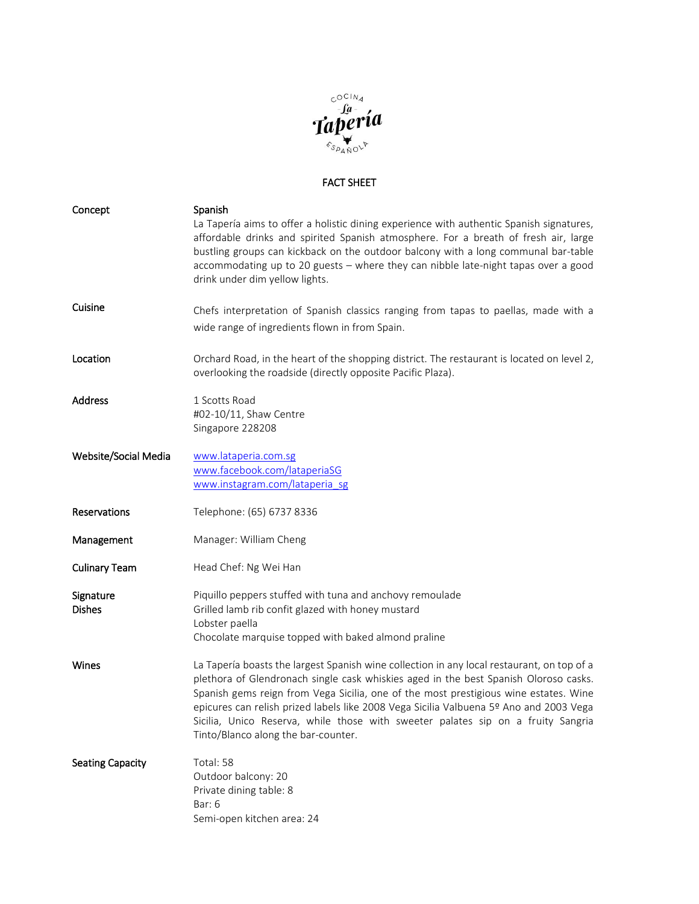

## FACT SHEET

| Concept                    | Spanish<br>La Tapería aims to offer a holistic dining experience with authentic Spanish signatures,<br>affordable drinks and spirited Spanish atmosphere. For a breath of fresh air, large<br>bustling groups can kickback on the outdoor balcony with a long communal bar-table<br>accommodating up to 20 guests - where they can nibble late-night tapas over a good<br>drink under dim yellow lights.                                                                                        |
|----------------------------|-------------------------------------------------------------------------------------------------------------------------------------------------------------------------------------------------------------------------------------------------------------------------------------------------------------------------------------------------------------------------------------------------------------------------------------------------------------------------------------------------|
| Cuisine                    | Chefs interpretation of Spanish classics ranging from tapas to paellas, made with a<br>wide range of ingredients flown in from Spain.                                                                                                                                                                                                                                                                                                                                                           |
| Location                   | Orchard Road, in the heart of the shopping district. The restaurant is located on level 2,<br>overlooking the roadside (directly opposite Pacific Plaza).                                                                                                                                                                                                                                                                                                                                       |
| Address                    | 1 Scotts Road<br>#02-10/11, Shaw Centre<br>Singapore 228208                                                                                                                                                                                                                                                                                                                                                                                                                                     |
| Website/Social Media       | www.lataperia.com.sg<br>www.facebook.com/lataperiaSG<br>www.instagram.com/lataperia_sg                                                                                                                                                                                                                                                                                                                                                                                                          |
| Reservations               | Telephone: (65) 6737 8336                                                                                                                                                                                                                                                                                                                                                                                                                                                                       |
| Management                 | Manager: William Cheng                                                                                                                                                                                                                                                                                                                                                                                                                                                                          |
| <b>Culinary Team</b>       | Head Chef: Ng Wei Han                                                                                                                                                                                                                                                                                                                                                                                                                                                                           |
| Signature<br><b>Dishes</b> | Piquillo peppers stuffed with tuna and anchovy remoulade<br>Grilled lamb rib confit glazed with honey mustard<br>Lobster paella<br>Chocolate marquise topped with baked almond praline                                                                                                                                                                                                                                                                                                          |
| Wines                      | La Tapería boasts the largest Spanish wine collection in any local restaurant, on top of a<br>plethora of Glendronach single cask whiskies aged in the best Spanish Oloroso casks.<br>Spanish gems reign from Vega Sicilia, one of the most prestigious wine estates. Wine<br>epicures can relish prized labels like 2008 Vega Sicilia Valbuena 5º Ano and 2003 Vega<br>Sicilia, Unico Reserva, while those with sweeter palates sip on a fruity Sangria<br>Tinto/Blanco along the bar-counter. |
| <b>Seating Capacity</b>    | Total: 58<br>Outdoor balcony: 20<br>Private dining table: 8<br>Bar: 6<br>Semi-open kitchen area: 24                                                                                                                                                                                                                                                                                                                                                                                             |